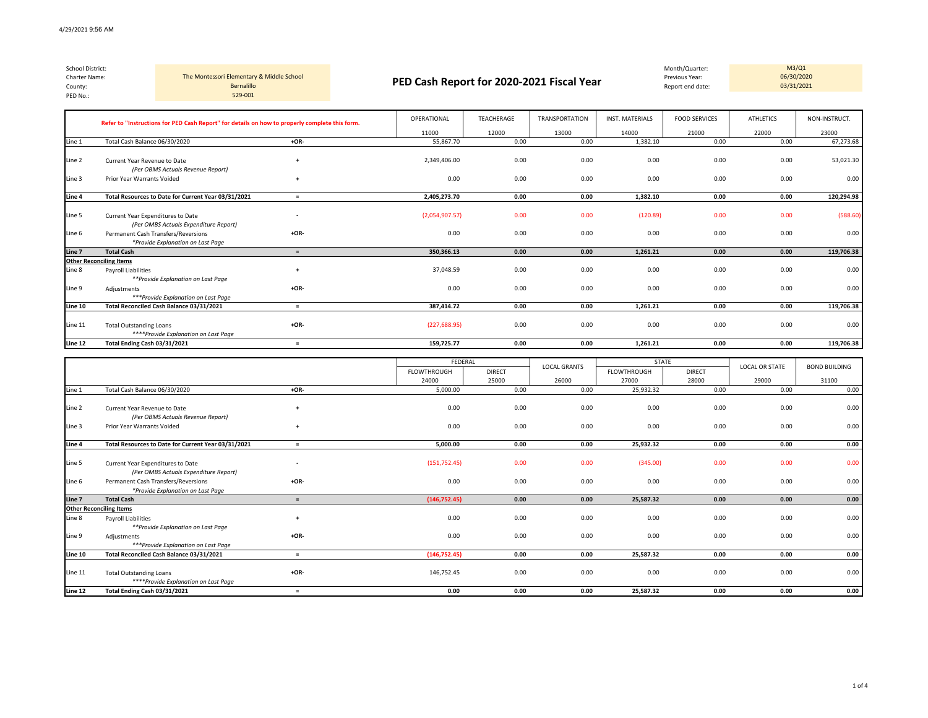| County:<br>PED No.: | School District:<br>The Montessori Elementary & Middle School<br>Charter Name:<br>Bernalillo<br>529-001 |                                   |        | PED Cash Report for 2020-2021 Fiscal Year |            |                |                        | Month/Quarter:<br>Previous Year:<br>Report end date: |                  | M3/Q1<br>06/30/2020<br>03/31/2021 |  |
|---------------------|---------------------------------------------------------------------------------------------------------|-----------------------------------|--------|-------------------------------------------|------------|----------------|------------------------|------------------------------------------------------|------------------|-----------------------------------|--|
|                     | Refer to "Instructions for PED Cash Report" for details on how to properly complete this form.          |                                   |        | OPERATIONAL                               | TEACHERAGE | TRANSPORTATION | <b>INST. MATERIALS</b> | <b>FOOD SERVICES</b>                                 | <b>ATHLETICS</b> | NON-INSTRUCT.                     |  |
|                     |                                                                                                         |                                   |        | 11000                                     | 12000      | 13000          | 14000                  | 21000                                                | 22000            | 23000                             |  |
| Line 1              | Total Cash Balance 06/30/2020                                                                           |                                   | $+OR-$ | 55,867.70                                 | 0.00       | 0.00           | 1,382.10               | 0.00                                                 | 0.00             | 67,273.68                         |  |
| Line 2              | Current Year Revenue to Date                                                                            | (Per OBMS Actuals Revenue Report) |        | 2.349.406.00                              | 0.00       | 0.00           | 0.00                   | 0.00                                                 | 0.00             | 53,021.30                         |  |
| Line 3              | Prior Year Warrants Voided                                                                              |                                   |        | 0.00                                      | 0.00       | 0.00           | 0.00                   | 0.00                                                 | 0.00             | 0.00                              |  |

| Line 4  | Total Resources to Date for Current Year 03/31/2021                        |                          | 2,405,273.70   | 0.00 | 0.00 | 1,382.10 | 0.00 | 0.00 | 120,294.98 |
|---------|----------------------------------------------------------------------------|--------------------------|----------------|------|------|----------|------|------|------------|
| Line 5  | Current Year Expenditures to Date<br>(Per OMBS Actuals Expenditure Report) | $\overline{\phantom{a}}$ | (2,054,907.57) | 0.00 | 0.00 | (120.89) | 0.00 | 0.00 | (588.60)   |
| Line 6  | Permanent Cash Transfers/Reversions<br>*Provide Explanation on Last Page   | $+OR-$                   | 0.00           | 0.00 | 0.00 | 0.00     | 0.00 | 0.00 | 0.00       |
| Line 7  | <b>Total Cash</b>                                                          |                          | 350,366.13     | 0.00 | 0.00 | 1,261.21 | 0.00 | 0.00 | 119,706.38 |
|         | <b>Other Reconciling Items</b>                                             |                          |                |      |      |          |      |      |            |
| Line 8  | Payroll Liabilities                                                        |                          | 37,048.59      | 0.00 | 0.00 | 0.00     | 0.00 | 0.00 | 0.00       |
|         | **Provide Explanation on Last Page                                         |                          |                |      |      |          |      |      |            |
| Line 9  | Adjustments                                                                | $+OR-$                   | 0.00           | 0.00 | 0.00 | 0.00     | 0.00 | 0.00 | 0.00       |
|         | ***Provide Explanation on Last Page                                        |                          |                |      |      |          |      |      |            |
| Line 10 | Total Reconciled Cash Balance 03/31/2021                                   |                          | 387,414.72     | 0.00 | 0.00 | 1,261.21 | 0.00 | 0.00 | 119,706.38 |
|         |                                                                            |                          |                |      |      |          |      |      |            |
| Line 11 | <b>Total Outstanding Loans</b>                                             | $+OR-$                   | (227, 688.95)  | 0.00 | 0.00 | 0.00     | 0.00 | 0.00 | 0.00       |
|         | ****Provide Explanation on Last Page                                       |                          |                |      |      |          |      |      |            |
| Line 12 | Total Ending Cash 03/31/2021                                               |                          | 159,725.77     | 0.00 | 0.00 | 1,261.21 | 0.00 | 0.00 | 119,706.38 |

|         |                                                                            |                          | FEDERAL            |               | <b>LOCAL GRANTS</b> | <b>STATE</b>       |               | <b>LOCAL OR STATE</b> | <b>BOND BUILDING</b> |
|---------|----------------------------------------------------------------------------|--------------------------|--------------------|---------------|---------------------|--------------------|---------------|-----------------------|----------------------|
|         |                                                                            |                          | <b>FLOWTHROUGH</b> | <b>DIRECT</b> |                     | <b>FLOWTHROUGH</b> | <b>DIRECT</b> |                       |                      |
|         |                                                                            |                          | 24000              | 25000         | 26000               | 27000              | 28000         | 29000                 | 31100                |
| Line 1  | Total Cash Balance 06/30/2020                                              | $+OR-$                   | 5,000.00           | 0.00          | 0.00                | 25,932.32          | 0.00          | 0.00                  | 0.00                 |
| Line 2  | Current Year Revenue to Date<br>(Per OBMS Actuals Revenue Report)          | $\overline{ }$           | 0.00               | 0.00          | 0.00                | 0.00               | 0.00          | 0.00                  | 0.00                 |
| Line 3  | Prior Year Warrants Voided                                                 |                          | 0.00               | 0.00          | 0.00                | 0.00               | 0.00          | 0.00                  | 0.00                 |
| Line 4  | Total Resources to Date for Current Year 03/31/2021                        | $\equiv$                 | 5,000.00           | 0.00          | 0.00                | 25,932.32          | 0.00          | 0.00                  | 0.00                 |
| Line 5  | Current Year Expenditures to Date<br>(Per OMBS Actuals Expenditure Report) | $\overline{\phantom{a}}$ | (151, 752.45)      | 0.00          | 0.00                | (345.00)           | 0.00          | 0.00                  | 0.00                 |
| Line 6  | Permanent Cash Transfers/Reversions<br>*Provide Explanation on Last Page   | $+OR-$                   | 0.00               | 0.00          | 0.00                | 0.00               | 0.00          | 0.00                  | 0.00                 |
| Line 7  | <b>Total Cash</b>                                                          | $=$                      | (146, 752.45)      | 0.00          | 0.00                | 25,587.32          | 0.00          | 0.00                  | 0.00                 |
|         | <b>Other Reconciling Items</b>                                             |                          |                    |               |                     |                    |               |                       |                      |
| Line 8  | <b>Payroll Liabilities</b><br>**Provide Explanation on Last Page           |                          | 0.00               | 0.00          | 0.00                | 0.00               | 0.00          | 0.00                  | 0.00                 |
| Line 9  | Adjustments<br>***Provide Explanation on Last Page                         | $+OR-$                   | 0.00               | 0.00          | 0.00                | 0.00               | 0.00          | 0.00                  | 0.00                 |
| Line 10 | Total Reconciled Cash Balance 03/31/2021                                   | $=$                      | (146, 752.45)      | 0.00          | 0.00                | 25,587.32          | 0.00          | 0.00                  | 0.00                 |
| Line 11 | <b>Total Outstanding Loans</b><br>****Provide Explanation on Last Page     | $+OR-$                   | 146,752.45         | 0.00          | 0.00                | 0.00               | 0.00          | 0.00                  | 0.00                 |
| Line 12 | Total Ending Cash 03/31/2021                                               | $=$                      | 0.00               | 0.00          | 0.00                | 25,587.32          | 0.00          | 0.00                  | 0.00                 |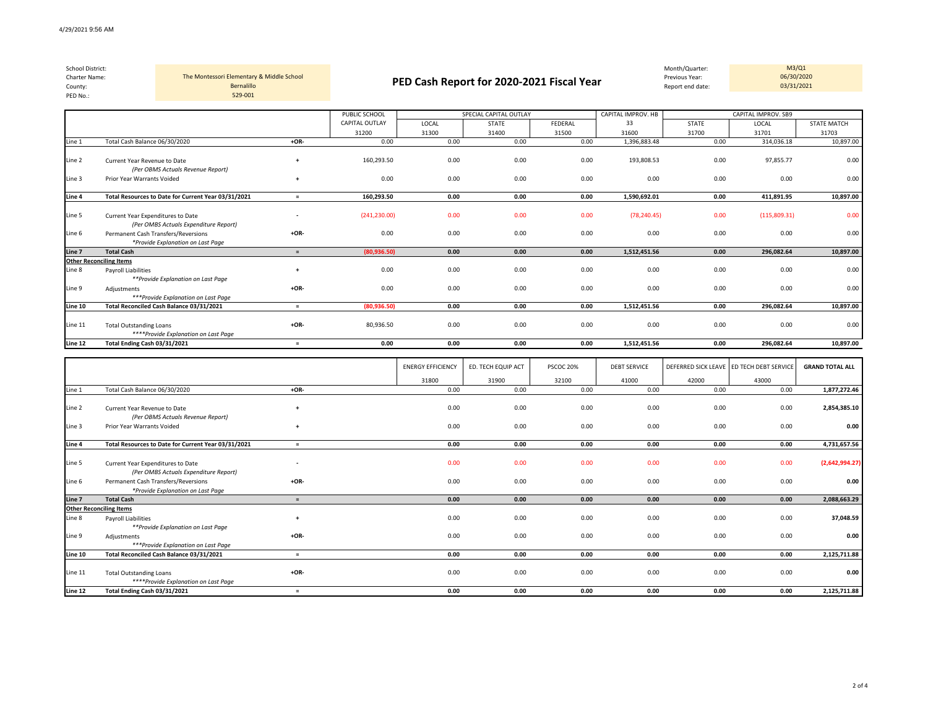| School District:<br>Charter Name:<br>County:<br>PED No.: | The Montessori Elementary & Middle School<br>Bernalillo<br>529-001 |                                        |       | PED Cash Report for 2020-2021 Fiscal Year |         |                          | Month/Quarter:<br>Previous Year:<br>Report end date: |                              | M3/Q1<br>06/30/2020<br>03/31/2021 |
|----------------------------------------------------------|--------------------------------------------------------------------|----------------------------------------|-------|-------------------------------------------|---------|--------------------------|------------------------------------------------------|------------------------------|-----------------------------------|
|                                                          |                                                                    | PUBLIC SCHOOL<br><b>CAPITAL OUTLAY</b> | LOCAL | SPECIAL CAPITAL OUTLAY<br><b>STATE</b>    | FEDERAL | CAPITAL IMPROV. HB<br>33 | <b>STATE</b>                                         | CAPITAL IMPROV. SB9<br>LOCAL | <b>STATE MATCH</b>                |

| Line 1  | Total Cash Balance 06/30/2020                       | +OR-                     | 0.00          | 0.00 | 0.00 | 0.00 | 1,396,883.48 | 0.00 | 314,036.18   | 10,897.00 |
|---------|-----------------------------------------------------|--------------------------|---------------|------|------|------|--------------|------|--------------|-----------|
|         |                                                     |                          |               |      |      |      |              |      |              |           |
| Line 2  | Current Year Revenue to Date                        |                          | 160,293.50    | 0.00 | 0.00 | 0.00 | 193,808.53   | 0.00 | 97,855.77    | 0.00      |
|         | (Per OBMS Actuals Revenue Report)                   |                          |               |      |      |      |              |      |              |           |
| Line 3  | Prior Year Warrants Voided                          |                          | 0.00          | 0.00 | 0.00 | 0.00 | 0.00         | 0.00 | 0.00         | 0.00      |
| Line 4  | Total Resources to Date for Current Year 03/31/2021 | $\equiv$                 | 160,293.50    | 0.00 | 0.00 | 0.00 | 1,590,692.01 | 0.00 | 411,891.95   | 10,897.00 |
| Line 5  | Current Year Expenditures to Date                   | $\overline{\phantom{a}}$ | (241, 230.00) | 0.00 | 0.00 | 0.00 | (78, 240.45) | 0.00 | (115,809.31) | 0.00      |
|         | (Per OMBS Actuals Expenditure Report)               |                          |               |      |      |      |              |      |              |           |
| Line 6  | Permanent Cash Transfers/Reversions                 | $+OR-$                   | 0.00          | 0.00 | 0.00 | 0.00 | 0.00         | 0.00 | 0.00         | 0.00      |
|         | *Provide Explanation on Last Page                   |                          |               |      |      |      |              |      |              |           |
|         |                                                     |                          |               |      |      |      |              |      |              |           |
| Line 7  | <b>Total Cash</b>                                   |                          | (80,936.50)   | 0.00 | 0.00 | 0.00 | 1,512,451.56 | 0.00 | 296,082.64   | 10,897.00 |
|         | <b>Other Reconciling Items</b>                      |                          |               |      |      |      |              |      |              |           |
| Line 8  | Payroll Liabilities                                 |                          | 0.00          | 0.00 | 0.00 | 0.00 | 0.00         | 0.00 | 0.00         | 0.00      |
|         | **Provide Explanation on Last Page                  |                          |               |      |      |      |              |      |              |           |
| Line 9  | Adjustments                                         | $+OR-$                   | 0.00          | 0.00 | 0.00 | 0.00 | 0.00         | 0.00 | 0.00         | 0.00      |
|         | ***Provide Explanation on Last Page                 |                          |               |      |      |      |              |      |              |           |
| Line 10 | Total Reconciled Cash Balance 03/31/2021            | $=$                      | (80,936.50)   | 0.00 | 0.00 | 0.00 | 1,512,451.56 | 0.00 | 296,082.64   | 10,897.00 |
|         |                                                     |                          |               |      |      |      |              |      |              |           |
| Line 11 | <b>Total Outstanding Loans</b>                      | $+OR-$                   | 80,936.50     | 0.00 | 0.00 | 0.00 | 0.00         | 0.00 | 0.00         | 0.00      |
|         | ****Provide Explanation on Last Page                |                          |               |      |      |      |              |      |              |           |
| Line 12 | Total Ending Cash 03/31/2021                        | $\equiv$                 | 0.00          | 0.00 | 0.00 | 0.00 | 1,512,451.56 | 0.00 | 296,082.64   | 10,897.00 |
|         |                                                     |                          |               |      |      |      |              |      |              |           |

31200 31300 31400 31500 31600 31700 31701 31703

|         |                                                                            |        | <b>ENERGY EFFICIENCY</b> | ED. TECH EQUIP ACT | PSCOC 20% | <b>DEBT SERVICE</b> |       | DEFERRED SICK LEAVE ED TECH DEBT SERVICE | <b>GRAND TOTAL ALL</b> |
|---------|----------------------------------------------------------------------------|--------|--------------------------|--------------------|-----------|---------------------|-------|------------------------------------------|------------------------|
|         |                                                                            |        | 31800                    | 31900              | 32100     | 41000               | 42000 | 43000                                    |                        |
| Line 1  | Total Cash Balance 06/30/2020                                              | $+OR-$ | 0.00                     | 0.00               | 0.00      | 0.00                | 0.00  | 0.00                                     | 1,877,272.46           |
| Line 2  | Current Year Revenue to Date<br>(Per OBMS Actuals Revenue Report)          |        | 0.00                     | 0.00               | 0.00      | 0.00                | 0.00  | 0.00                                     | 2,854,385.10           |
| Line 3  | Prior Year Warrants Voided                                                 |        | 0.00                     | 0.00               | 0.00      | 0.00                | 0.00  | 0.00                                     | 0.00                   |
| Line 4  | Total Resources to Date for Current Year 03/31/2021                        | $=$    | 0.00                     | 0.00               | 0.00      | 0.00                | 0.00  | 0.00                                     | 4,731,657.56           |
| Line 5  | Current Year Expenditures to Date<br>(Per OMBS Actuals Expenditure Report) | $\sim$ | 0.00                     | 0.00               | 0.00      | 0.00                | 0.00  | 0.00                                     | (2,642,994.27)         |
| Line 6  | Permanent Cash Transfers/Reversions<br>*Provide Explanation on Last Page   | $+OR-$ | 0.00                     | 0.00               | 0.00      | 0.00                | 0.00  | 0.00                                     | 0.00                   |
| Line 7  | <b>Total Cash</b>                                                          | $=$    | 0.00                     | 0.00               | 0.00      | 0.00                | 0.00  | 0.00                                     | 2,088,663.29           |
|         | <b>Other Reconciling Items</b>                                             |        |                          |                    |           |                     |       |                                          |                        |
| Line 8  | <b>Payroll Liabilities</b><br>**Provide Explanation on Last Page           |        | 0.00                     | 0.00               | 0.00      | 0.00                | 0.00  | 0.00                                     | 37,048.59              |
| Line 9  | Adjustments<br>***Provide Explanation on Last Page                         | $+OR-$ | 0.00                     | 0.00               | 0.00      | 0.00                | 0.00  | 0.00                                     | 0.00                   |
| Line 10 | Total Reconciled Cash Balance 03/31/2021                                   | $=$    | 0.00                     | 0.00               | 0.00      | 0.00                | 0.00  | 0.00                                     | 2,125,711.88           |
| Line 11 | <b>Total Outstanding Loans</b><br>****Provide Explanation on Last Page     | $+OR-$ | 0.00                     | 0.00               | 0.00      | 0.00                | 0.00  | 0.00                                     | 0.00                   |
| Line 12 | Total Ending Cash 03/31/2021                                               | $=$    | 0.00                     | 0.00               | 0.00      | 0.00                | 0.00  | 0.00                                     | 2,125,711.88           |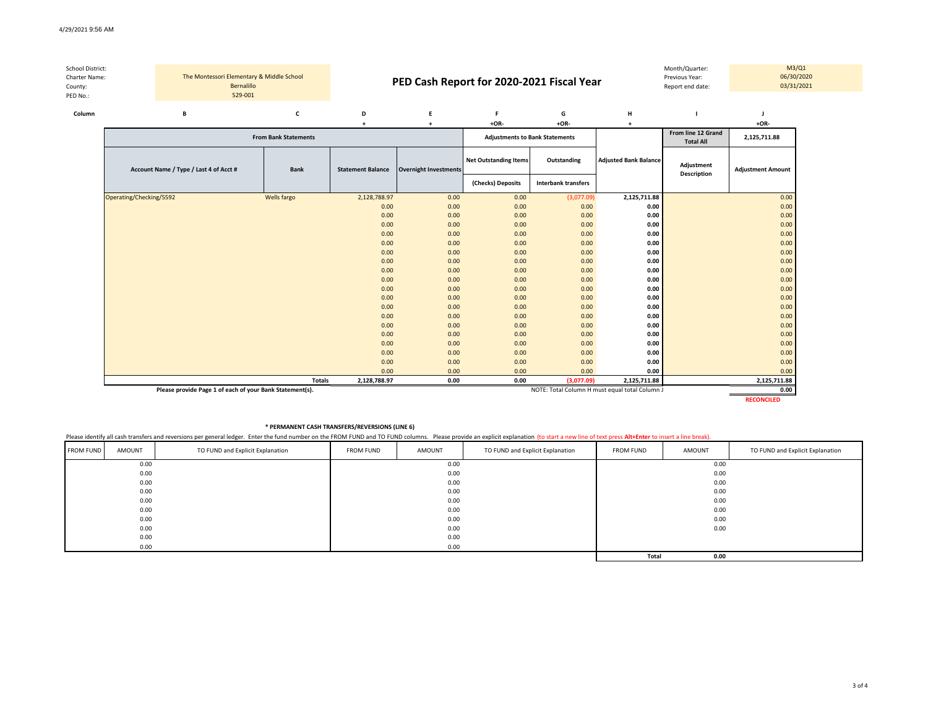| School District:<br>Charter Name:<br>County: |  | The Montessori Elementary & Middle School<br>Bernalillo |                             |                          | PED Cash Report for 2020-2021 Fiscal Year |                                       |             |                              | Month/Quarter:<br>Previous Year:<br>Report end date: |                          | M3/Q1<br>06/30/2020<br>03/31/2021 |
|----------------------------------------------|--|---------------------------------------------------------|-----------------------------|--------------------------|-------------------------------------------|---------------------------------------|-------------|------------------------------|------------------------------------------------------|--------------------------|-----------------------------------|
| PED No.:<br>Column                           |  | 529-001<br>в                                            |                             | D                        |                                           |                                       | G           | H                            |                                                      |                          |                                   |
|                                              |  |                                                         |                             |                          |                                           | $+OR-$                                | $+OR-$      |                              |                                                      | $+OR-$                   |                                   |
|                                              |  |                                                         | <b>From Bank Statements</b> |                          |                                           | <b>Adjustments to Bank Statements</b> |             |                              | From line 12 Grand<br><b>Total All</b>               | 2,125,711.88             |                                   |
|                                              |  | Account Name / Type / Last 4 of Acct #                  | <b>Bank</b>                 | <b>Statement Balance</b> | <b>Overnight Investments</b>              | <b>Net Outstanding Items</b>          | Outstanding | <b>Adjusted Bank Balance</b> | Adjustment<br><b>Production Contract</b>             | <b>Adjustment Amount</b> |                                   |

| $1.0000$ and $1.0000$ $1.0000$ $1.0000$ $1.0000$ $1.0000$ | -----         | <b>Prace:::e::: Paia::ec</b> |      |                   |                            |              | <b>Description</b> |              |
|-----------------------------------------------------------|---------------|------------------------------|------|-------------------|----------------------------|--------------|--------------------|--------------|
|                                                           |               |                              |      | (Checks) Deposits | <b>Interbank transfers</b> |              |                    |              |
| Operating/Checking/5592                                   | Wells fargo   | 2,128,788.97                 | 0.00 | 0.00              | (3,077.09)                 | 2,125,711.88 |                    | 0.00         |
|                                                           |               | 0.00                         | 0.00 | 0.00              | 0.00                       | 0.00         |                    | 0.00         |
|                                                           |               | 0.00                         | 0.00 | 0.00              | 0.00                       | 0.00         |                    | 0.00         |
|                                                           |               | 0.00                         | 0.00 | 0.00              | 0.00                       | 0.00         |                    | 0.00         |
|                                                           |               | 0.00                         | 0.00 | 0.00              | 0.00                       | 0.00         |                    | 0.00         |
|                                                           |               | 0.00                         | 0.00 | 0.00              | 0.00                       | 0.00         |                    | 0.00         |
|                                                           |               | 0.00                         | 0.00 | 0.00              | 0.00                       | 0.00         |                    | 0.00         |
|                                                           |               | 0.00                         | 0.00 | 0.00              | 0.00                       | 0.00         |                    | 0.00         |
|                                                           |               | 0.00                         | 0.00 | 0.00              | 0.00                       | 0.00         |                    | 0.00         |
|                                                           |               | 0.00                         | 0.00 | 0.00              | 0.00                       | 0.00         |                    | 0.00         |
|                                                           |               | 0.00                         | 0.00 | 0.00              | 0.00                       | 0.00         |                    | 0.00         |
|                                                           |               | 0.00                         | 0.00 | 0.00              | 0.00                       | 0.00         |                    | 0.00         |
|                                                           |               | 0.00                         | 0.00 | 0.00              | 0.00                       | 0.00         |                    | 0.00         |
|                                                           |               | 0.00                         | 0.00 | 0.00              | 0.00                       | 0.00         |                    | 0.00         |
|                                                           |               | 0.00                         | 0.00 | 0.00              | 0.00                       | 0.00         |                    | 0.00         |
|                                                           |               | 0.00                         | 0.00 | 0.00              | 0.00                       | 0.00         |                    | 0.00         |
|                                                           |               | 0.00                         | 0.00 | 0.00              | 0.00                       | 0.00         |                    | 0.00         |
|                                                           |               | 0.00                         | 0.00 | 0.00              | 0.00                       | 0.00         |                    | 0.00         |
|                                                           |               | 0.00                         | 0.00 | 0.00              | 0.00                       | 0.00         |                    | 0.00         |
|                                                           |               | 0.00                         | 0.00 | 0.00              | 0.00                       | 0.00         |                    | 0.00         |
|                                                           | <b>Totals</b> | 2,128,788.97                 | 0.00 | 0.00              | (3,077.09)                 | 2,125,711.88 |                    | 2,125,711.88 |

**Please provide Page 1 of each of your Bank Statement(s). Depited by the column of the column of the column of the column of the column of the column of the column of the column of the column of the column of the column** 

**RECONCILED**

## **\* PERMANENT CASH TRANSFERS/REVERSIONS (LINE 6)**

Please identify all cash transfers and reversions per general ledger. Enter the fund number on the FROM FUND and TO FUND columns. Please provide an explicit explanation (to start a new line of text press Alt+Enter to inser

| <b>FROM FUND</b> | AMOUNT | TO FUND and Explicit Explanation | <b>FROM FUND</b> | AMOUNT | TO FUND and Explicit Explanation | <b>FROM FUND</b> | AMOUNT | TO FUND and Explicit Explanation |
|------------------|--------|----------------------------------|------------------|--------|----------------------------------|------------------|--------|----------------------------------|
|                  | 0.00   |                                  |                  | 0.00   |                                  |                  | 0.00   |                                  |
|                  | 0.00   |                                  |                  | 0.00   |                                  |                  | 0.00   |                                  |
|                  | 0.00   |                                  |                  | 0.00   |                                  |                  | 0.00   |                                  |
|                  | 0.00   |                                  |                  | 0.00   |                                  |                  | 0.00   |                                  |
|                  | 0.00   |                                  |                  | 0.00   |                                  |                  | 0.00   |                                  |
|                  | 0.00   |                                  |                  | 0.00   |                                  |                  | 0.00   |                                  |
|                  | 0.00   |                                  |                  | 0.00   |                                  |                  | 0.00   |                                  |
|                  | 0.00   |                                  |                  | 0.00   |                                  |                  | 0.00   |                                  |
|                  | 0.00   |                                  |                  | 0.00   |                                  |                  |        |                                  |
|                  | 0.00   |                                  |                  | 0.00   |                                  |                  |        |                                  |
|                  |        |                                  |                  |        |                                  | Total            | 0.00   |                                  |